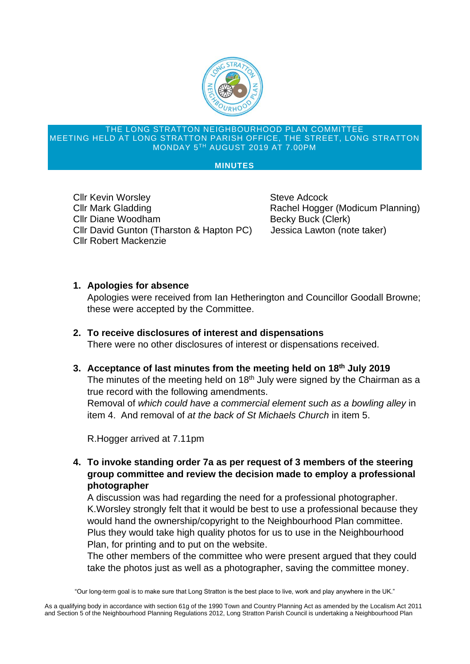

#### THE LONG STRATTON NEIGHBOURHOOD PLAN COMMITTEE MEETING HELD AT LONG STRATTON PARISH OFFICE, THE STREET, LONG STRATTON MONDAY 5TH AUGUST 2019 AT 7.00PM

#### **MINUTES**

**Cllr Kevin Worsley Cliff Contract Cliff Kevin Worsley Steve Adcock** Cllr Mark Gladding **Rachel Hogger (Modicum Planning)** Cllr Diane Woodham Becky Buck (Clerk) Cllr David Gunton (Tharston & Hapton PC) Jessica Lawton (note taker) Cllr Robert Mackenzie

### **1. Apologies for absence**

Apologies were received from Ian Hetherington and Councillor Goodall Browne; these were accepted by the Committee.

**2. To receive disclosures of interest and dispensations** There were no other disclosures of interest or dispensations received.

# **3. Acceptance of last minutes from the meeting held on 18th July 2019**

The minutes of the meeting held on  $18<sup>th</sup>$  July were signed by the Chairman as a true record with the following amendments.

Removal of *which could have a commercial element such as a bowling alley* in item 4. And removal of *at the back of St Michaels Church* in item 5.

R.Hogger arrived at 7.11pm

**4. To invoke standing order 7a as per request of 3 members of the steering group committee and review the decision made to employ a professional photographer**

A discussion was had regarding the need for a professional photographer. K.Worsley strongly felt that it would be best to use a professional because they would hand the ownership/copyright to the Neighbourhood Plan committee. Plus they would take high quality photos for us to use in the Neighbourhood Plan, for printing and to put on the website.

The other members of the committee who were present argued that they could take the photos just as well as a photographer, saving the committee money.

"Our long-term goal is to make sure that Long Stratton is the best place to live, work and play anywhere in the UK."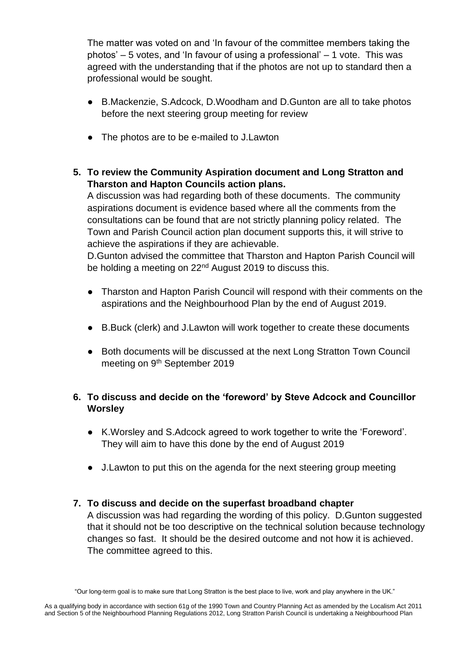The matter was voted on and 'In favour of the committee members taking the photos' – 5 votes, and 'In favour of using a professional' – 1 vote. This was agreed with the understanding that if the photos are not up to standard then a professional would be sought.

- B.Mackenzie, S.Adcock, D.Woodham and D.Gunton are all to take photos before the next steering group meeting for review
- The photos are to be e-mailed to J.Lawton
- **5. To review the Community Aspiration document and Long Stratton and Tharston and Hapton Councils action plans.**

A discussion was had regarding both of these documents. The community aspirations document is evidence based where all the comments from the consultations can be found that are not strictly planning policy related. The Town and Parish Council action plan document supports this, it will strive to achieve the aspirations if they are achievable.

D.Gunton advised the committee that Tharston and Hapton Parish Council will be holding a meeting on 22<sup>nd</sup> August 2019 to discuss this.

- Tharston and Hapton Parish Council will respond with their comments on the aspirations and the Neighbourhood Plan by the end of August 2019.
- B.Buck (clerk) and J.Lawton will work together to create these documents
- Both documents will be discussed at the next Long Stratton Town Council meeting on 9<sup>th</sup> September 2019

# **6. To discuss and decide on the 'foreword' by Steve Adcock and Councillor Worsley**

- K.Worsley and S.Adcock agreed to work together to write the 'Foreword'. They will aim to have this done by the end of August 2019
- J.Lawton to put this on the agenda for the next steering group meeting

## **7. To discuss and decide on the superfast broadband chapter**

A discussion was had regarding the wording of this policy. D.Gunton suggested that it should not be too descriptive on the technical solution because technology changes so fast. It should be the desired outcome and not how it is achieved. The committee agreed to this.

<sup>&</sup>quot;Our long-term goal is to make sure that Long Stratton is the best place to live, work and play anywhere in the UK."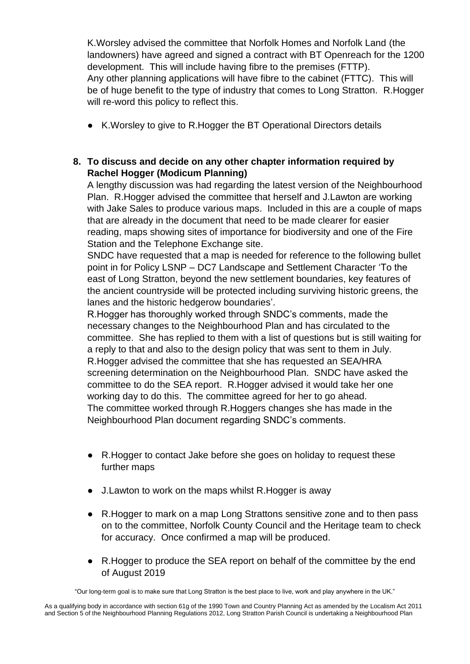K.Worsley advised the committee that Norfolk Homes and Norfolk Land (the landowners) have agreed and signed a contract with BT Openreach for the 1200 development. This will include having fibre to the premises (FTTP). Any other planning applications will have fibre to the cabinet (FTTC). This will be of huge benefit to the type of industry that comes to Long Stratton. R.Hogger will re-word this policy to reflect this.

● K.Worsley to give to R.Hogger the BT Operational Directors details

## **8. To discuss and decide on any other chapter information required by Rachel Hogger (Modicum Planning)**

A lengthy discussion was had regarding the latest version of the Neighbourhood Plan. R.Hogger advised the committee that herself and J.Lawton are working with Jake Sales to produce various maps. Included in this are a couple of maps that are already in the document that need to be made clearer for easier reading, maps showing sites of importance for biodiversity and one of the Fire Station and the Telephone Exchange site.

SNDC have requested that a map is needed for reference to the following bullet point in for Policy LSNP – DC7 Landscape and Settlement Character 'To the east of Long Stratton, beyond the new settlement boundaries, key features of the ancient countryside will be protected including surviving historic greens, the lanes and the historic hedgerow boundaries'.

R.Hogger has thoroughly worked through SNDC's comments, made the necessary changes to the Neighbourhood Plan and has circulated to the committee. She has replied to them with a list of questions but is still waiting for a reply to that and also to the design policy that was sent to them in July. R.Hogger advised the committee that she has requested an SEA/HRA screening determination on the Neighbourhood Plan. SNDC have asked the committee to do the SEA report. R.Hogger advised it would take her one working day to do this. The committee agreed for her to go ahead. The committee worked through R.Hoggers changes she has made in the Neighbourhood Plan document regarding SNDC's comments.

- R.Hogger to contact Jake before she goes on holiday to request these further maps
- J.Lawton to work on the maps whilst R.Hogger is away
- R. Hogger to mark on a map Long Strattons sensitive zone and to then pass on to the committee, Norfolk County Council and the Heritage team to check for accuracy. Once confirmed a map will be produced.
- R.Hogger to produce the SEA report on behalf of the committee by the end of August 2019

"Our long-term goal is to make sure that Long Stratton is the best place to live, work and play anywhere in the UK."